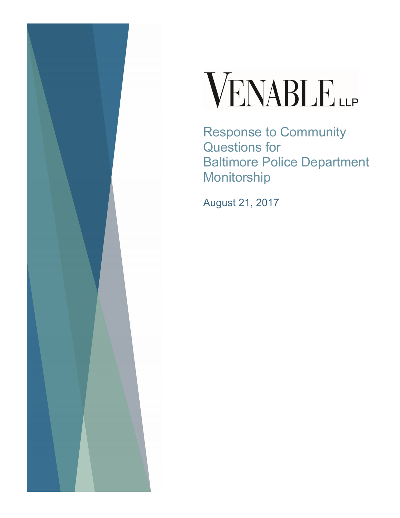

# VENABLE

Response to Community Questions for Baltimore Police Department Monitorship

August 21, 2017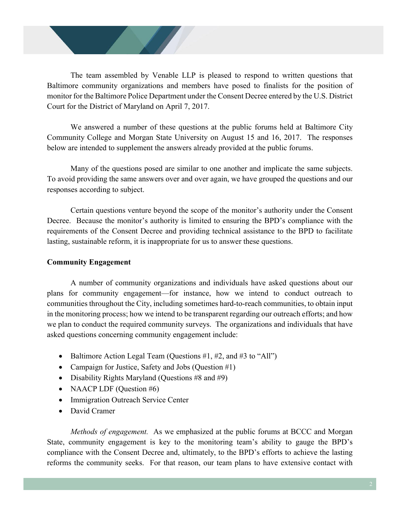The team assembled by Venable LLP is pleased to respond to written questions that Baltimore community organizations and members have posed to finalists for the position of monitor for the Baltimore Police Department under the Consent Decree entered by the U.S. District Court for the District of Maryland on April 7, 2017.

We answered a number of these questions at the public forums held at Baltimore City Community College and Morgan State University on August 15 and 16, 2017. The responses below are intended to supplement the answers already provided at the public forums.

Many of the questions posed are similar to one another and implicate the same subjects. To avoid providing the same answers over and over again, we have grouped the questions and our responses according to subject.

Certain questions venture beyond the scope of the monitor's authority under the Consent Decree. Because the monitor's authority is limited to ensuring the BPD's compliance with the requirements of the Consent Decree and providing technical assistance to the BPD to facilitate lasting, sustainable reform, it is inappropriate for us to answer these questions.

# **Community Engagement**

A number of community organizations and individuals have asked questions about our plans for community engagement—for instance, how we intend to conduct outreach to communities throughout the City, including sometimes hard-to-reach communities, to obtain input in the monitoring process; how we intend to be transparent regarding our outreach efforts; and how we plan to conduct the required community surveys. The organizations and individuals that have asked questions concerning community engagement include:

- Baltimore Action Legal Team (Questions  $#1, #2,$  and  $#3$  to "All")
- Campaign for Justice, Safety and Jobs (Question #1)
- Disability Rights Maryland (Questions  $#8$  and  $#9$ )
- NAACP LDF (Question  $#6$ )
- Immigration Outreach Service Center
- David Cramer

*Methods of engagement.* As we emphasized at the public forums at BCCC and Morgan State, community engagement is key to the monitoring team's ability to gauge the BPD's compliance with the Consent Decree and, ultimately, to the BPD's efforts to achieve the lasting reforms the community seeks. For that reason, our team plans to have extensive contact with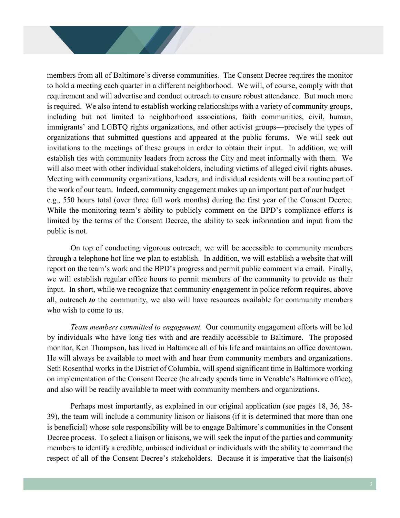members from all of Baltimore's diverse communities. The Consent Decree requires the monitor to hold a meeting each quarter in a different neighborhood. We will, of course, comply with that requirement and will advertise and conduct outreach to ensure robust attendance. But much more is required. We also intend to establish working relationships with a variety of community groups, including but not limited to neighborhood associations, faith communities, civil, human, immigrants' and LGBTQ rights organizations, and other activist groups—precisely the types of organizations that submitted questions and appeared at the public forums. We will seek out invitations to the meetings of these groups in order to obtain their input. In addition, we will establish ties with community leaders from across the City and meet informally with them. We will also meet with other individual stakeholders, including victims of alleged civil rights abuses. Meeting with community organizations, leaders, and individual residents will be a routine part of the work of our team. Indeed, community engagement makes up an important part of our budget e.g., 550 hours total (over three full work months) during the first year of the Consent Decree. While the monitoring team's ability to publicly comment on the BPD's compliance efforts is limited by the terms of the Consent Decree, the ability to seek information and input from the public is not.

On top of conducting vigorous outreach, we will be accessible to community members through a telephone hot line we plan to establish. In addition, we will establish a website that will report on the team's work and the BPD's progress and permit public comment via email. Finally, we will establish regular office hours to permit members of the community to provide us their input. In short, while we recognize that community engagement in police reform requires, above all, outreach *to* the community, we also will have resources available for community members who wish to come to us.

*Team members committed to engagement.* Our community engagement efforts will be led by individuals who have long ties with and are readily accessible to Baltimore. The proposed monitor, Ken Thompson, has lived in Baltimore all of his life and maintains an office downtown. He will always be available to meet with and hear from community members and organizations. Seth Rosenthal works in the District of Columbia, will spend significant time in Baltimore working on implementation of the Consent Decree (he already spends time in Venable's Baltimore office), and also will be readily available to meet with community members and organizations.

Perhaps most importantly, as explained in our original application (see pages 18, 36, 38- 39), the team will include a community liaison or liaisons (if it is determined that more than one is beneficial) whose sole responsibility will be to engage Baltimore's communities in the Consent Decree process. To select a liaison or liaisons, we will seek the input of the parties and community members to identify a credible, unbiased individual or individuals with the ability to command the respect of all of the Consent Decree's stakeholders. Because it is imperative that the liaison(s)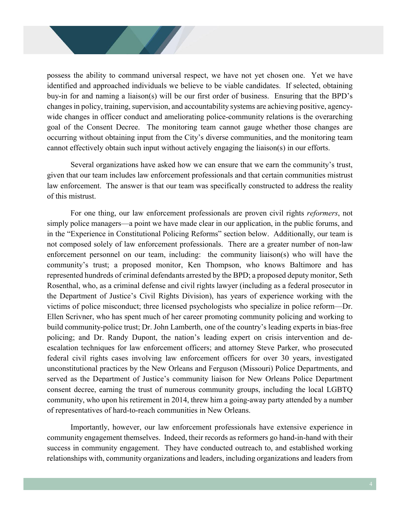possess the ability to command universal respect, we have not yet chosen one. Yet we have identified and approached individuals we believe to be viable candidates. If selected, obtaining buy-in for and naming a liaison(s) will be our first order of business. Ensuring that the BPD's changes in policy, training, supervision, and accountability systems are achieving positive, agencywide changes in officer conduct and ameliorating police-community relations is the overarching goal of the Consent Decree. The monitoring team cannot gauge whether those changes are occurring without obtaining input from the City's diverse communities, and the monitoring team cannot effectively obtain such input without actively engaging the liaison(s) in our efforts.

Several organizations have asked how we can ensure that we earn the community's trust, given that our team includes law enforcement professionals and that certain communities mistrust law enforcement. The answer is that our team was specifically constructed to address the reality of this mistrust.

For one thing, our law enforcement professionals are proven civil rights *reformers*, not simply police managers—a point we have made clear in our application, in the public forums, and in the "Experience in Constitutional Policing Reforms" section below. Additionally, our team is not composed solely of law enforcement professionals. There are a greater number of non-law enforcement personnel on our team, including: the community liaison(s) who will have the community's trust; a proposed monitor, Ken Thompson, who knows Baltimore and has represented hundreds of criminal defendants arrested by the BPD; a proposed deputy monitor, Seth Rosenthal, who, as a criminal defense and civil rights lawyer (including as a federal prosecutor in the Department of Justice's Civil Rights Division), has years of experience working with the victims of police misconduct; three licensed psychologists who specialize in police reform—Dr. Ellen Scrivner, who has spent much of her career promoting community policing and working to build community-police trust; Dr. John Lamberth, one of the country's leading experts in bias-free policing; and Dr. Randy Dupont, the nation's leading expert on crisis intervention and deescalation techniques for law enforcement officers; and attorney Steve Parker, who prosecuted federal civil rights cases involving law enforcement officers for over 30 years, investigated unconstitutional practices by the New Orleans and Ferguson (Missouri) Police Departments, and served as the Department of Justice's community liaison for New Orleans Police Department consent decree, earning the trust of numerous community groups, including the local LGBTQ community, who upon his retirement in 2014, threw him a going-away party attended by a number of representatives of hard-to-reach communities in New Orleans.

Importantly, however, our law enforcement professionals have extensive experience in community engagement themselves. Indeed, their records as reformers go hand-in-hand with their success in community engagement. They have conducted outreach to, and established working relationships with, community organizations and leaders, including organizations and leaders from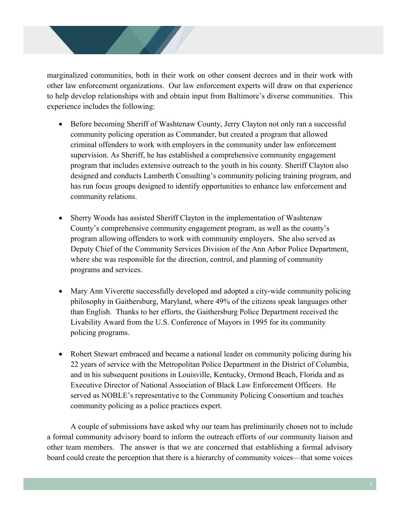marginalized communities, both in their work on other consent decrees and in their work with other law enforcement organizations. Our law enforcement experts will draw on that experience to help develop relationships with and obtain input from Baltimore's diverse communities. This experience includes the following:

- Before becoming Sheriff of Washtenaw County, Jerry Clayton not only ran a successful community policing operation as Commander, but created a program that allowed criminal offenders to work with employers in the community under law enforcement supervision. As Sheriff, he has established a comprehensive community engagement program that includes extensive outreach to the youth in his county. Sheriff Clayton also designed and conducts Lamberth Consulting's community policing training program, and has run focus groups designed to identify opportunities to enhance law enforcement and community relations.
- Sherry Woods has assisted Sheriff Clayton in the implementation of Washtenaw County's comprehensive community engagement program, as well as the county's program allowing offenders to work with community employers. She also served as Deputy Chief of the Community Services Division of the Ann Arbor Police Department, where she was responsible for the direction, control, and planning of community programs and services.
- Mary Ann Viverette successfully developed and adopted a city-wide community policing philosophy in Gaithersburg, Maryland, where 49% of the citizens speak languages other than English. Thanks to her efforts, the Gaithersburg Police Department received the Livability Award from the U.S. Conference of Mayors in 1995 for its community policing programs.
- Robert Stewart embraced and became a national leader on community policing during his 22 years of service with the Metropolitan Police Department in the District of Columbia, and in his subsequent positions in Louisville, Kentucky, Ormond Beach, Florida and as Executive Director of National Association of Black Law Enforcement Officers. He served as NOBLE's representative to the Community Policing Consortium and teaches community policing as a police practices expert.

A couple of submissions have asked why our team has preliminarily chosen not to include a formal community advisory board to inform the outreach efforts of our community liaison and other team members. The answer is that we are concerned that establishing a formal advisory board could create the perception that there is a hierarchy of community voices—that some voices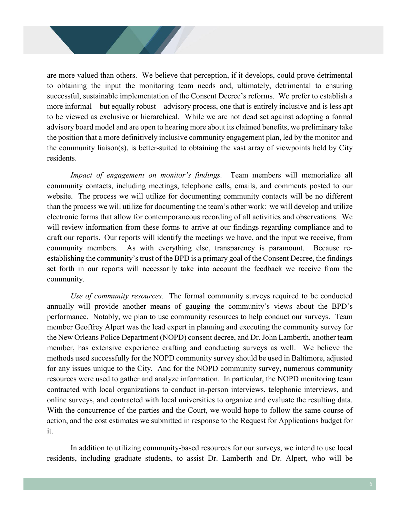are more valued than others. We believe that perception, if it develops, could prove detrimental to obtaining the input the monitoring team needs and, ultimately, detrimental to ensuring successful, sustainable implementation of the Consent Decree's reforms. We prefer to establish a more informal—but equally robust—advisory process, one that is entirely inclusive and is less apt to be viewed as exclusive or hierarchical. While we are not dead set against adopting a formal advisory board model and are open to hearing more about its claimed benefits, we preliminary take the position that a more definitively inclusive community engagement plan, led by the monitor and the community liaison(s), is better-suited to obtaining the vast array of viewpoints held by City residents.

*Impact of engagement on monitor's findings.* Team members will memorialize all community contacts, including meetings, telephone calls, emails, and comments posted to our website. The process we will utilize for documenting community contacts will be no different than the process we will utilize for documenting the team's other work: we will develop and utilize electronic forms that allow for contemporaneous recording of all activities and observations. We will review information from these forms to arrive at our findings regarding compliance and to draft our reports. Our reports will identify the meetings we have, and the input we receive, from community members. As with everything else, transparency is paramount. Because reestablishing the community's trust of the BPD is a primary goal of the Consent Decree, the findings set forth in our reports will necessarily take into account the feedback we receive from the community.

*Use of community resources.* The formal community surveys required to be conducted annually will provide another means of gauging the community's views about the BPD's performance. Notably, we plan to use community resources to help conduct our surveys. Team member Geoffrey Alpert was the lead expert in planning and executing the community survey for the New Orleans Police Department (NOPD) consent decree, and Dr. John Lamberth, another team member, has extensive experience crafting and conducting surveys as well. We believe the methods used successfully for the NOPD community survey should be used in Baltimore, adjusted for any issues unique to the City. And for the NOPD community survey, numerous community resources were used to gather and analyze information. In particular, the NOPD monitoring team contracted with local organizations to conduct in-person interviews, telephonic interviews, and online surveys, and contracted with local universities to organize and evaluate the resulting data. With the concurrence of the parties and the Court, we would hope to follow the same course of action, and the cost estimates we submitted in response to the Request for Applications budget for it.

In addition to utilizing community-based resources for our surveys, we intend to use local residents, including graduate students, to assist Dr. Lamberth and Dr. Alpert, who will be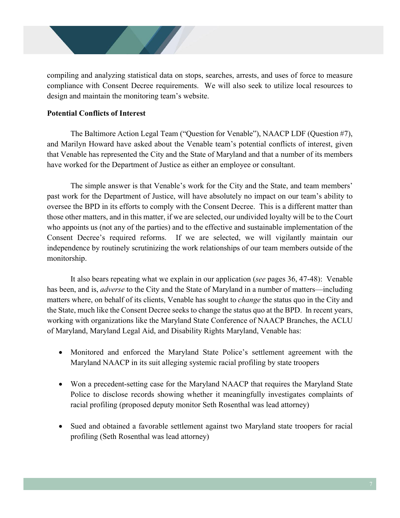compiling and analyzing statistical data on stops, searches, arrests, and uses of force to measure compliance with Consent Decree requirements. We will also seek to utilize local resources to design and maintain the monitoring team's website.

# **Potential Conflicts of Interest**

The Baltimore Action Legal Team ("Question for Venable"), NAACP LDF (Question #7), and Marilyn Howard have asked about the Venable team's potential conflicts of interest, given that Venable has represented the City and the State of Maryland and that a number of its members have worked for the Department of Justice as either an employee or consultant.

The simple answer is that Venable's work for the City and the State, and team members' past work for the Department of Justice, will have absolutely no impact on our team's ability to oversee the BPD in its efforts to comply with the Consent Decree. This is a different matter than those other matters, and in this matter, if we are selected, our undivided loyalty will be to the Court who appoints us (not any of the parties) and to the effective and sustainable implementation of the Consent Decree's required reforms. If we are selected, we will vigilantly maintain our independence by routinely scrutinizing the work relationships of our team members outside of the monitorship.

It also bears repeating what we explain in our application (*see* pages 36, 47-48): Venable has been, and is, *adverse* to the City and the State of Maryland in a number of matters—including matters where, on behalf of its clients, Venable has sought to *change* the status quo in the City and the State, much like the Consent Decree seeks to change the status quo at the BPD. In recent years, working with organizations like the Maryland State Conference of NAACP Branches, the ACLU of Maryland, Maryland Legal Aid, and Disability Rights Maryland, Venable has:

- Monitored and enforced the Maryland State Police's settlement agreement with the Maryland NAACP in its suit alleging systemic racial profiling by state troopers
- Won a precedent-setting case for the Maryland NAACP that requires the Maryland State Police to disclose records showing whether it meaningfully investigates complaints of racial profiling (proposed deputy monitor Seth Rosenthal was lead attorney)
- Sued and obtained a favorable settlement against two Maryland state troopers for racial profiling (Seth Rosenthal was lead attorney)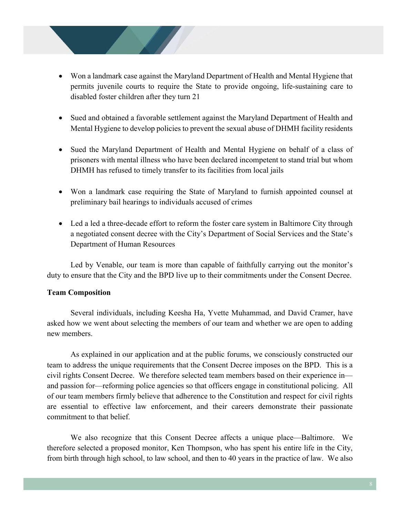- Won a landmark case against the Maryland Department of Health and Mental Hygiene that permits juvenile courts to require the State to provide ongoing, life-sustaining care to disabled foster children after they turn 21
- Sued and obtained a favorable settlement against the Maryland Department of Health and Mental Hygiene to develop policies to prevent the sexual abuse of DHMH facility residents
- Sued the Maryland Department of Health and Mental Hygiene on behalf of a class of prisoners with mental illness who have been declared incompetent to stand trial but whom DHMH has refused to timely transfer to its facilities from local jails
- Won a landmark case requiring the State of Maryland to furnish appointed counsel at preliminary bail hearings to individuals accused of crimes
- Led a led a three-decade effort to reform the foster care system in Baltimore City through a negotiated consent decree with the City's Department of Social Services and the State's Department of Human Resources

Led by Venable, our team is more than capable of faithfully carrying out the monitor's duty to ensure that the City and the BPD live up to their commitments under the Consent Decree.

## **Team Composition**

Several individuals, including Keesha Ha, Yvette Muhammad, and David Cramer, have asked how we went about selecting the members of our team and whether we are open to adding new members.

As explained in our application and at the public forums, we consciously constructed our team to address the unique requirements that the Consent Decree imposes on the BPD. This is a civil rights Consent Decree. We therefore selected team members based on their experience in and passion for—reforming police agencies so that officers engage in constitutional policing. All of our team members firmly believe that adherence to the Constitution and respect for civil rights are essential to effective law enforcement, and their careers demonstrate their passionate commitment to that belief.

We also recognize that this Consent Decree affects a unique place—Baltimore. We therefore selected a proposed monitor, Ken Thompson, who has spent his entire life in the City, from birth through high school, to law school, and then to 40 years in the practice of law. We also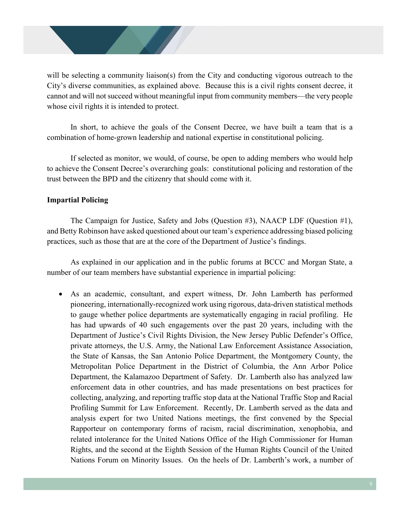will be selecting a community liaison(s) from the City and conducting vigorous outreach to the City's diverse communities, as explained above. Because this is a civil rights consent decree, it cannot and will not succeed without meaningful input from community members—the very people whose civil rights it is intended to protect.

In short, to achieve the goals of the Consent Decree, we have built a team that is a combination of home-grown leadership and national expertise in constitutional policing.

If selected as monitor, we would, of course, be open to adding members who would help to achieve the Consent Decree's overarching goals: constitutional policing and restoration of the trust between the BPD and the citizenry that should come with it.

# **Impartial Policing**

The Campaign for Justice, Safety and Jobs (Question #3), NAACP LDF (Question #1), and Betty Robinson have asked questioned about our team's experience addressing biased policing practices, such as those that are at the core of the Department of Justice's findings.

As explained in our application and in the public forums at BCCC and Morgan State, a number of our team members have substantial experience in impartial policing:

 As an academic, consultant, and expert witness, Dr. John Lamberth has performed pioneering, internationally-recognized work using rigorous, data-driven statistical methods to gauge whether police departments are systematically engaging in racial profiling. He has had upwards of 40 such engagements over the past 20 years, including with the Department of Justice's Civil Rights Division, the New Jersey Public Defender's Office, private attorneys, the U.S. Army, the National Law Enforcement Assistance Association, the State of Kansas, the San Antonio Police Department, the Montgomery County, the Metropolitan Police Department in the District of Columbia, the Ann Arbor Police Department, the Kalamazoo Department of Safety. Dr. Lamberth also has analyzed law enforcement data in other countries, and has made presentations on best practices for collecting, analyzing, and reporting traffic stop data at the National Traffic Stop and Racial Profiling Summit for Law Enforcement. Recently, Dr. Lamberth served as the data and analysis expert for two United Nations meetings, the first convened by the Special Rapporteur on contemporary forms of racism, racial discrimination, xenophobia, and related intolerance for the United Nations Office of the High Commissioner for Human Rights, and the second at the Eighth Session of the Human Rights Council of the United Nations Forum on Minority Issues. On the heels of Dr. Lamberth's work, a number of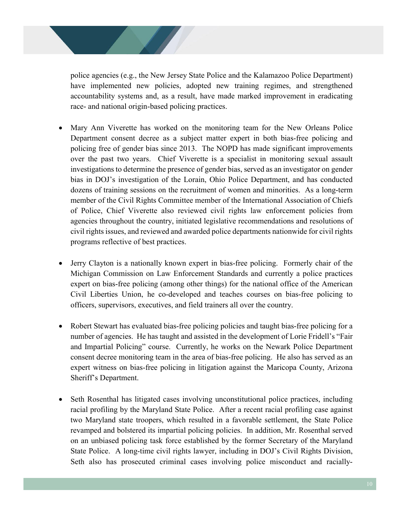police agencies (e.g., the New Jersey State Police and the Kalamazoo Police Department) have implemented new policies, adopted new training regimes, and strengthened accountability systems and, as a result, have made marked improvement in eradicating race- and national origin-based policing practices.

- Mary Ann Viverette has worked on the monitoring team for the New Orleans Police Department consent decree as a subject matter expert in both bias-free policing and policing free of gender bias since 2013. The NOPD has made significant improvements over the past two years. Chief Viverette is a specialist in monitoring sexual assault investigations to determine the presence of gender bias, served as an investigator on gender bias in DOJ's investigation of the Lorain, Ohio Police Department, and has conducted dozens of training sessions on the recruitment of women and minorities. As a long-term member of the Civil Rights Committee member of the International Association of Chiefs of Police, Chief Viverette also reviewed civil rights law enforcement policies from agencies throughout the country, initiated legislative recommendations and resolutions of civil rights issues, and reviewed and awarded police departments nationwide for civil rights programs reflective of best practices.
- Jerry Clayton is a nationally known expert in bias-free policing. Formerly chair of the Michigan Commission on Law Enforcement Standards and currently a police practices expert on bias-free policing (among other things) for the national office of the American Civil Liberties Union, he co-developed and teaches courses on bias-free policing to officers, supervisors, executives, and field trainers all over the country.
- Robert Stewart has evaluated bias-free policing policies and taught bias-free policing for a number of agencies. He has taught and assisted in the development of Lorie Fridell's "Fair and Impartial Policing" course. Currently, he works on the Newark Police Department consent decree monitoring team in the area of bias-free policing. He also has served as an expert witness on bias-free policing in litigation against the Maricopa County, Arizona Sheriff's Department.
- Seth Rosenthal has litigated cases involving unconstitutional police practices, including racial profiling by the Maryland State Police. After a recent racial profiling case against two Maryland state troopers, which resulted in a favorable settlement, the State Police revamped and bolstered its impartial policing policies. In addition, Mr. Rosenthal served on an unbiased policing task force established by the former Secretary of the Maryland State Police. A long-time civil rights lawyer, including in DOJ's Civil Rights Division, Seth also has prosecuted criminal cases involving police misconduct and racially-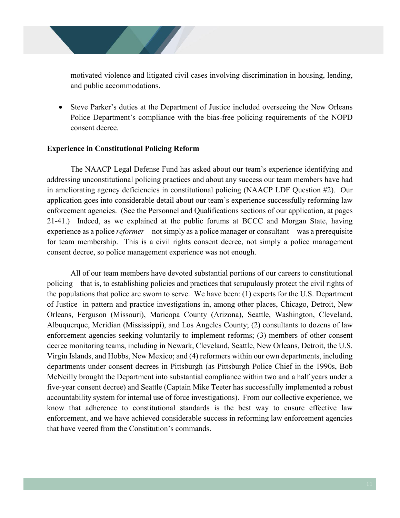motivated violence and litigated civil cases involving discrimination in housing, lending, and public accommodations.

 Steve Parker's duties at the Department of Justice included overseeing the New Orleans Police Department's compliance with the bias-free policing requirements of the NOPD consent decree.

#### **Experience in Constitutional Policing Reform**

The NAACP Legal Defense Fund has asked about our team's experience identifying and addressing unconstitutional policing practices and about any success our team members have had in ameliorating agency deficiencies in constitutional policing (NAACP LDF Question #2). Our application goes into considerable detail about our team's experience successfully reforming law enforcement agencies. (See the Personnel and Qualifications sections of our application, at pages 21-41.) Indeed, as we explained at the public forums at BCCC and Morgan State, having experience as a police *reformer*—not simply as a police manager or consultant—was a prerequisite for team membership. This is a civil rights consent decree, not simply a police management consent decree, so police management experience was not enough.

All of our team members have devoted substantial portions of our careers to constitutional policing—that is, to establishing policies and practices that scrupulously protect the civil rights of the populations that police are sworn to serve. We have been: (1) experts for the U.S. Department of Justice in pattern and practice investigations in, among other places, Chicago, Detroit, New Orleans, Ferguson (Missouri), Maricopa County (Arizona), Seattle, Washington, Cleveland, Albuquerque, Meridian (Mississippi), and Los Angeles County; (2) consultants to dozens of law enforcement agencies seeking voluntarily to implement reforms; (3) members of other consent decree monitoring teams, including in Newark, Cleveland, Seattle, New Orleans, Detroit, the U.S. Virgin Islands, and Hobbs, New Mexico; and (4) reformers within our own departments, including departments under consent decrees in Pittsburgh (as Pittsburgh Police Chief in the 1990s, Bob McNeilly brought the Department into substantial compliance within two and a half years under a five-year consent decree) and Seattle (Captain Mike Teeter has successfully implemented a robust accountability system for internal use of force investigations). From our collective experience, we know that adherence to constitutional standards is the best way to ensure effective law enforcement, and we have achieved considerable success in reforming law enforcement agencies that have veered from the Constitution's commands.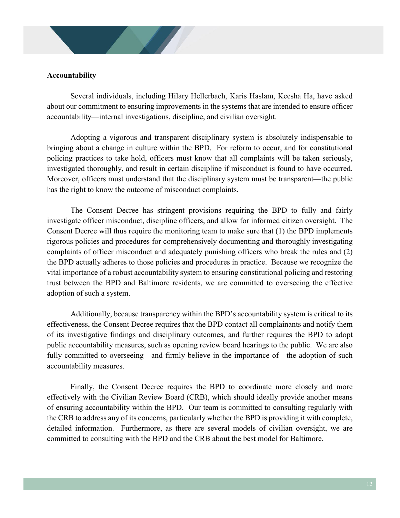#### **Accountability**

Several individuals, including Hilary Hellerbach, Karis Haslam, Keesha Ha, have asked about our commitment to ensuring improvements in the systems that are intended to ensure officer accountability—internal investigations, discipline, and civilian oversight.

Adopting a vigorous and transparent disciplinary system is absolutely indispensable to bringing about a change in culture within the BPD. For reform to occur, and for constitutional policing practices to take hold, officers must know that all complaints will be taken seriously, investigated thoroughly, and result in certain discipline if misconduct is found to have occurred. Moreover, officers must understand that the disciplinary system must be transparent—the public has the right to know the outcome of misconduct complaints.

The Consent Decree has stringent provisions requiring the BPD to fully and fairly investigate officer misconduct, discipline officers, and allow for informed citizen oversight. The Consent Decree will thus require the monitoring team to make sure that (1) the BPD implements rigorous policies and procedures for comprehensively documenting and thoroughly investigating complaints of officer misconduct and adequately punishing officers who break the rules and (2) the BPD actually adheres to those policies and procedures in practice. Because we recognize the vital importance of a robust accountability system to ensuring constitutional policing and restoring trust between the BPD and Baltimore residents, we are committed to overseeing the effective adoption of such a system.

Additionally, because transparency within the BPD's accountability system is critical to its effectiveness, the Consent Decree requires that the BPD contact all complainants and notify them of its investigative findings and disciplinary outcomes, and further requires the BPD to adopt public accountability measures, such as opening review board hearings to the public. We are also fully committed to overseeing—and firmly believe in the importance of—the adoption of such accountability measures.

Finally, the Consent Decree requires the BPD to coordinate more closely and more effectively with the Civilian Review Board (CRB), which should ideally provide another means of ensuring accountability within the BPD. Our team is committed to consulting regularly with the CRB to address any of its concerns, particularly whether the BPD is providing it with complete, detailed information. Furthermore, as there are several models of civilian oversight, we are committed to consulting with the BPD and the CRB about the best model for Baltimore.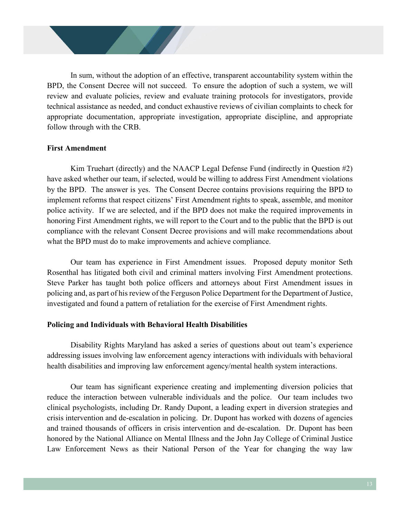In sum, without the adoption of an effective, transparent accountability system within the BPD, the Consent Decree will not succeed. To ensure the adoption of such a system, we will review and evaluate policies, review and evaluate training protocols for investigators, provide technical assistance as needed, and conduct exhaustive reviews of civilian complaints to check for appropriate documentation, appropriate investigation, appropriate discipline, and appropriate follow through with the CRB.

#### **First Amendment**

Kim Truehart (directly) and the NAACP Legal Defense Fund (indirectly in Question #2) have asked whether our team, if selected, would be willing to address First Amendment violations by the BPD. The answer is yes. The Consent Decree contains provisions requiring the BPD to implement reforms that respect citizens' First Amendment rights to speak, assemble, and monitor police activity. If we are selected, and if the BPD does not make the required improvements in honoring First Amendment rights, we will report to the Court and to the public that the BPD is out compliance with the relevant Consent Decree provisions and will make recommendations about what the BPD must do to make improvements and achieve compliance.

Our team has experience in First Amendment issues. Proposed deputy monitor Seth Rosenthal has litigated both civil and criminal matters involving First Amendment protections. Steve Parker has taught both police officers and attorneys about First Amendment issues in policing and, as part of his review of the Ferguson Police Department for the Department of Justice, investigated and found a pattern of retaliation for the exercise of First Amendment rights.

#### **Policing and Individuals with Behavioral Health Disabilities**

Disability Rights Maryland has asked a series of questions about out team's experience addressing issues involving law enforcement agency interactions with individuals with behavioral health disabilities and improving law enforcement agency/mental health system interactions.

Our team has significant experience creating and implementing diversion policies that reduce the interaction between vulnerable individuals and the police. Our team includes two clinical psychologists, including Dr. Randy Dupont, a leading expert in diversion strategies and crisis intervention and de-escalation in policing. Dr. Dupont has worked with dozens of agencies and trained thousands of officers in crisis intervention and de-escalation. Dr. Dupont has been honored by the National Alliance on Mental Illness and the John Jay College of Criminal Justice Law Enforcement News as their National Person of the Year for changing the way law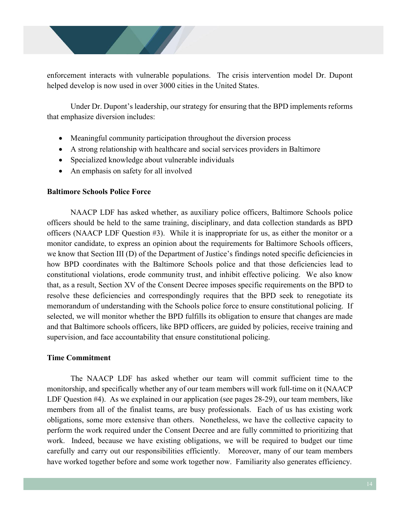enforcement interacts with vulnerable populations. The crisis intervention model Dr. Dupont helped develop is now used in over 3000 cities in the United States.

Under Dr. Dupont's leadership, our strategy for ensuring that the BPD implements reforms that emphasize diversion includes:

- Meaningful community participation throughout the diversion process
- A strong relationship with healthcare and social services providers in Baltimore
- Specialized knowledge about vulnerable individuals
- An emphasis on safety for all involved

## **Baltimore Schools Police Force**

NAACP LDF has asked whether, as auxiliary police officers, Baltimore Schools police officers should be held to the same training, disciplinary, and data collection standards as BPD officers (NAACP LDF Question #3). While it is inappropriate for us, as either the monitor or a monitor candidate, to express an opinion about the requirements for Baltimore Schools officers, we know that Section III (D) of the Department of Justice's findings noted specific deficiencies in how BPD coordinates with the Baltimore Schools police and that those deficiencies lead to constitutional violations, erode community trust, and inhibit effective policing. We also know that, as a result, Section XV of the Consent Decree imposes specific requirements on the BPD to resolve these deficiencies and correspondingly requires that the BPD seek to renegotiate its memorandum of understanding with the Schools police force to ensure constitutional policing. If selected, we will monitor whether the BPD fulfills its obligation to ensure that changes are made and that Baltimore schools officers, like BPD officers, are guided by policies, receive training and supervision, and face accountability that ensure constitutional policing.

## **Time Commitment**

The NAACP LDF has asked whether our team will commit sufficient time to the monitorship, and specifically whether any of our team members will work full-time on it (NAACP LDF Question #4). As we explained in our application (see pages 28-29), our team members, like members from all of the finalist teams, are busy professionals. Each of us has existing work obligations, some more extensive than others. Nonetheless, we have the collective capacity to perform the work required under the Consent Decree and are fully committed to prioritizing that work. Indeed, because we have existing obligations, we will be required to budget our time carefully and carry out our responsibilities efficiently. Moreover, many of our team members have worked together before and some work together now. Familiarity also generates efficiency.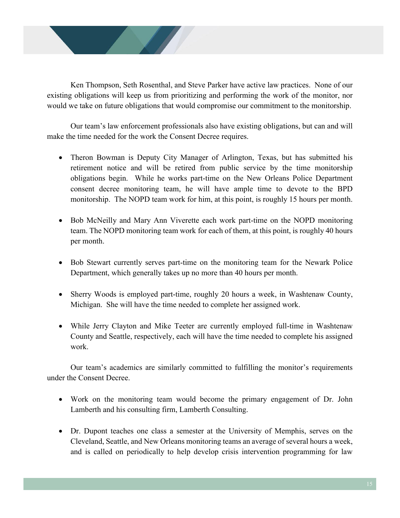

Ken Thompson, Seth Rosenthal, and Steve Parker have active law practices. None of our existing obligations will keep us from prioritizing and performing the work of the monitor, nor would we take on future obligations that would compromise our commitment to the monitorship.

Our team's law enforcement professionals also have existing obligations, but can and will make the time needed for the work the Consent Decree requires.

- Theron Bowman is Deputy City Manager of Arlington, Texas, but has submitted his retirement notice and will be retired from public service by the time monitorship obligations begin. While he works part-time on the New Orleans Police Department consent decree monitoring team, he will have ample time to devote to the BPD monitorship. The NOPD team work for him, at this point, is roughly 15 hours per month.
- Bob McNeilly and Mary Ann Viverette each work part-time on the NOPD monitoring team. The NOPD monitoring team work for each of them, at this point, is roughly 40 hours per month.
- Bob Stewart currently serves part-time on the monitoring team for the Newark Police Department, which generally takes up no more than 40 hours per month.
- Sherry Woods is employed part-time, roughly 20 hours a week, in Washtenaw County, Michigan. She will have the time needed to complete her assigned work.
- While Jerry Clayton and Mike Teeter are currently employed full-time in Washtenaw County and Seattle, respectively, each will have the time needed to complete his assigned work.

Our team's academics are similarly committed to fulfilling the monitor's requirements under the Consent Decree.

- Work on the monitoring team would become the primary engagement of Dr. John Lamberth and his consulting firm, Lamberth Consulting.
- Dr. Dupont teaches one class a semester at the University of Memphis, serves on the Cleveland, Seattle, and New Orleans monitoring teams an average of several hours a week, and is called on periodically to help develop crisis intervention programming for law